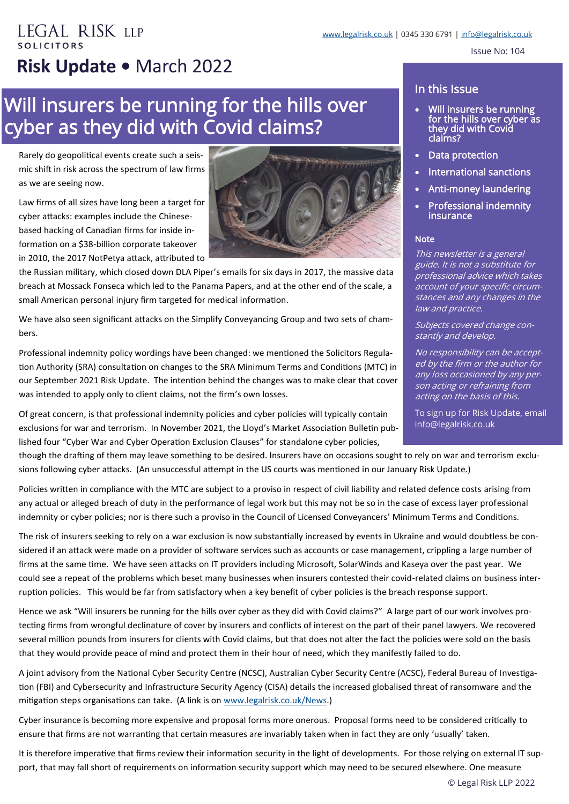## **EGAL RISK LLP COLICITORS Risk Update •** March 2022

# Will insurers be running for the hills over cyber as they did with Covid claims?

Rarely do geopolitical events create such a seismic shift in risk across the spectrum of law firms as we are seeing now.

Law firms of all sizes have long been a target for cyber attacks: examples include the Chinesebased hacking of Canadian firms for inside information on a \$38-billion corporate takeover in 2010, the 2017 NotPetya attack, attributed to



the Russian military, which closed down DLA Piper's emails for six days in 2017, the massive data breach at Mossack Fonseca which led to the Panama Papers, and at the other end of the scale, a small American personal injury firm targeted for medical information.

We have also seen significant attacks on the Simplify Conveyancing Group and two sets of chambers.

Professional indemnity policy wordings have been changed: we mentioned the Solicitors Regulation Authority (SRA) consultation on changes to the SRA Minimum Terms and Conditions (MTC) in our September 2021 Risk Update. The intention behind the changes was to make clear that cover was intended to apply only to client claims, not the firm's own losses.

Of great concern, is that professional indemnity policies and cyber policies will typically contain exclusions for war and terrorism. In November 2021, the Lloyd's Market Association Bulletin published four "Cyber War and Cyber Operation Exclusion Clauses" for standalone cyber policies,

#### In this Issue

- Will insurers be running for the hills over cyber as they did with Covid claims?
- Data protection
- International sanctions
- Anti-money laundering
- Professional indemnity insurance

#### **Note**

This newsletter is a general guide. It is not a substitute for professional advice which takes account of your specific circumstances and any changes in the law and practice.

Subjects covered change constantly and develop.

No responsibility can be accepted by the firm or the author for any loss occasioned by any person acting or refraining from acting on the basis of this.

To sign up for Risk Update, email [info@legalrisk.co.uk](mailto:info@legalrisk.co.uk)

though the drafting of them may leave something to be desired. Insurers have on occasions sought to rely on war and terrorism exclusions following cyber attacks. (An unsuccessful attempt in the US courts was mentioned in our January Risk Update.)

Policies written in compliance with the MTC are subject to a proviso in respect of civil liability and related defence costs arising from any actual or alleged breach of duty in the performance of legal work but this may not be so in the case of excess layer professional indemnity or cyber policies; nor is there such a proviso in the Council of Licensed Conveyancers' Minimum Terms and Conditions.

The risk of insurers seeking to rely on a war exclusion is now substantially increased by events in Ukraine and would doubtless be considered if an attack were made on a provider of software services such as accounts or case management, crippling a large number of firms at the same time. We have seen attacks on IT providers including Microsoft, SolarWinds and Kaseya over the past year. We could see a repeat of the problems which beset many businesses when insurers contested their covid-related claims on business interruption policies. This would be far from satisfactory when a key benefit of cyber policies is the breach response support.

Hence we ask "Will insurers be running for the hills over cyber as they did with Covid claims?" A large part of our work involves protecting firms from wrongful declinature of cover by insurers and conflicts of interest on the part of their panel lawyers. We recovered several million pounds from insurers for clients with Covid claims, but that does not alter the fact the policies were sold on the basis that they would provide peace of mind and protect them in their hour of need, which they manifestly failed to do.

A joint advisory from the National Cyber Security Centre (NCSC), Australian Cyber Security Centre (ACSC), Federal Bureau of Investigation (FBI) and Cybersecurity and Infrastructure Security Agency (CISA) details the increased globalised threat of ransomware and the mitigation steps organisations can take. (A link is on [www.legalrisk.co.uk/News.\)](http://www.legalrisk.co.uk/News)

Cyber insurance is becoming more expensive and proposal forms more onerous. Proposal forms need to be considered critically to ensure that firms are not warranting that certain measures are invariably taken when in fact they are only 'usually' taken.

It is therefore imperative that firms review their information security in the light of developments. For those relying on external IT support, that may fall short of requirements on information security support which may need to be secured elsewhere. One measure